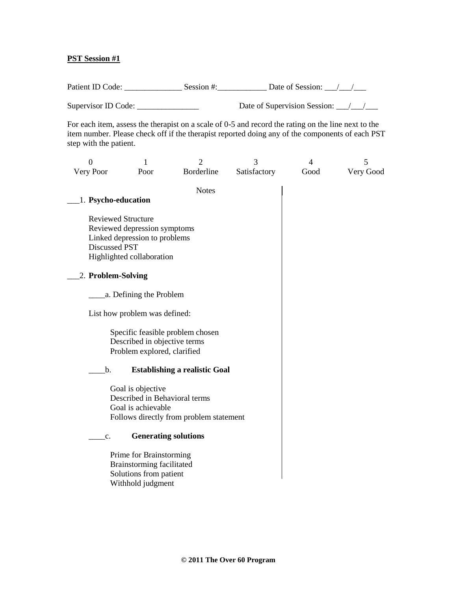### **PST Session #1**

Patient ID Code: \_\_\_\_\_\_\_\_\_\_\_\_\_\_ Session #:\_\_\_\_\_\_\_\_\_\_\_\_ Date of Session: \_\_\_/\_\_\_/\_\_\_ Supervisor ID Code: \_\_\_\_\_\_\_\_\_\_\_\_\_\_\_\_\_\_\_\_\_ Date of Supervision Session: \_\_\_/\_\_\_/\_\_

For each item, assess the therapist on a scale of 0-5 and record the rating on the line next to the item number. Please check off if the therapist reported doing any of the components of each PST step with the patient.

| $\overline{0}$      | 1                                                           | $\overline{2}$                          | 3            | $\overline{4}$ | 5         |
|---------------------|-------------------------------------------------------------|-----------------------------------------|--------------|----------------|-----------|
| Very Poor           | Poor                                                        | Borderline                              | Satisfactory | Good           | Very Good |
|                     |                                                             | <b>Notes</b>                            |              |                |           |
| 1. Psycho-education |                                                             |                                         |              |                |           |
|                     |                                                             |                                         |              |                |           |
|                     | <b>Reviewed Structure</b>                                   |                                         |              |                |           |
|                     | Reviewed depression symptoms                                |                                         |              |                |           |
|                     | Linked depression to problems                               |                                         |              |                |           |
| Discussed PST       | Highlighted collaboration                                   |                                         |              |                |           |
|                     |                                                             |                                         |              |                |           |
| 2. Problem-Solving  |                                                             |                                         |              |                |           |
|                     |                                                             |                                         |              |                |           |
|                     | a. Defining the Problem                                     |                                         |              |                |           |
|                     | List how problem was defined:                               |                                         |              |                |           |
|                     |                                                             |                                         |              |                |           |
|                     | Specific feasible problem chosen                            |                                         |              |                |           |
|                     | Described in objective terms<br>Problem explored, clarified |                                         |              |                |           |
|                     |                                                             |                                         |              |                |           |
| b.                  |                                                             | <b>Establishing a realistic Goal</b>    |              |                |           |
|                     | Goal is objective                                           |                                         |              |                |           |
|                     | Described in Behavioral terms                               |                                         |              |                |           |
|                     | Goal is achievable                                          |                                         |              |                |           |
|                     |                                                             | Follows directly from problem statement |              |                |           |
| c.                  | <b>Generating solutions</b>                                 |                                         |              |                |           |
|                     |                                                             |                                         |              |                |           |
|                     | Prime for Brainstorming                                     |                                         |              |                |           |
|                     | Brainstorming facilitated                                   |                                         |              |                |           |
|                     | Solutions from patient                                      |                                         |              |                |           |
|                     | Withhold judgment                                           |                                         |              |                |           |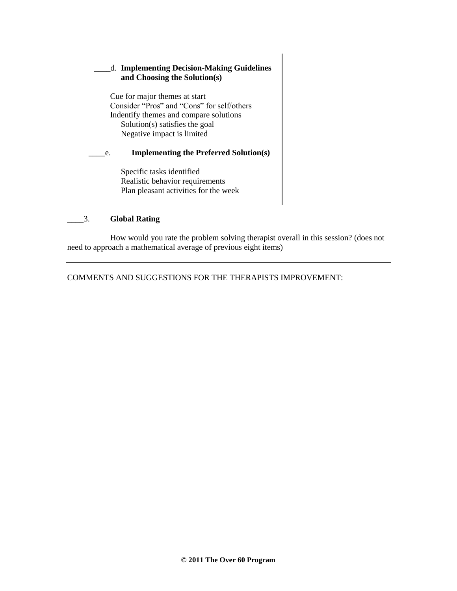# \_\_\_\_d. **Implementing Decision-Making Guidelines and Choosing the Solution(s)**

Cue for major themes at start Consider "Pros" and "Cons" for self/others Indentify themes and compare solutions Solution(s) satisfies the goal Negative impact is limited

#### \_\_\_\_e. **Implementing the Preferred Solution(s)**

Specific tasks identified Realistic behavior requirements Plan pleasant activities for the week

### \_\_\_\_3. **Global Rating**

How would you rate the problem solving therapist overall in this session? (does not need to approach a mathematical average of previous eight items)

COMMENTS AND SUGGESTIONS FOR THE THERAPISTS IMPROVEMENT: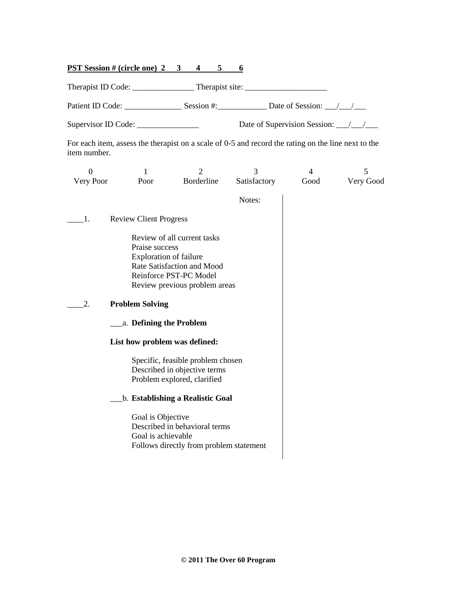### **PST Session # (circle one) 2 3 4 5 6**

Therapist ID Code: \_\_\_\_\_\_\_\_\_\_\_\_\_\_\_ Therapist site: \_\_\_\_\_\_\_\_\_\_\_\_\_\_\_\_\_\_\_\_

Patient ID Code: \_\_\_\_\_\_\_\_\_\_\_\_\_\_ Session #:\_\_\_\_\_\_\_\_\_\_\_\_ Date of Session: \_\_\_/\_\_\_/\_\_\_

Supervisor ID Code: \_\_\_\_\_\_\_\_\_\_\_\_\_\_\_\_\_\_\_\_\_\_ Date of Supervision Session: \_\_\_/\_\_\_/\_\_\_\_

For each item, assess the therapist on a scale of 0-5 and record the rating on the line next to the item number.

| $\overline{0}$ | 1                                                                                                                   | $\overline{2}$                                                                                                       | 3            | $\overline{4}$ | 5         |  |
|----------------|---------------------------------------------------------------------------------------------------------------------|----------------------------------------------------------------------------------------------------------------------|--------------|----------------|-----------|--|
| Very Poor      | Poor                                                                                                                | Borderline                                                                                                           | Satisfactory | Good           | Very Good |  |
|                |                                                                                                                     |                                                                                                                      | Notes:       |                |           |  |
| 1.             | <b>Review Client Progress</b>                                                                                       |                                                                                                                      |              |                |           |  |
|                | Praise success<br><b>Exploration of failure</b>                                                                     | Review of all current tasks<br>Rate Satisfaction and Mood<br>Reinforce PST-PC Model<br>Review previous problem areas |              |                |           |  |
| 2.             | <b>Problem Solving</b>                                                                                              |                                                                                                                      |              |                |           |  |
|                | a. Defining the Problem                                                                                             |                                                                                                                      |              |                |           |  |
|                | List how problem was defined:                                                                                       |                                                                                                                      |              |                |           |  |
|                | Specific, feasible problem chosen<br>Described in objective terms<br>Problem explored, clarified                    |                                                                                                                      |              |                |           |  |
|                | b. Establishing a Realistic Goal                                                                                    |                                                                                                                      |              |                |           |  |
|                | Goal is Objective<br>Described in behavioral terms<br>Goal is achievable<br>Follows directly from problem statement |                                                                                                                      |              |                |           |  |